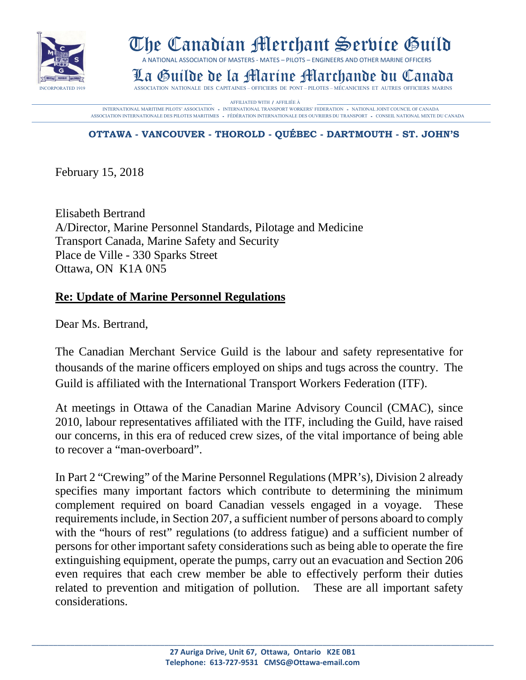

## The Canadian Merchant Service Guild

A NATIONAL ASSOCIATION OF MASTERS - MATES – PILOTS – ENGINEERS AND OTHER MARINE OFFICERS

La Guilde de la Hiartíne Harride Marchande du Canada

AFFILIATED WITH / AFFILIÉE À **AFFILIATED WITH / AFFILIÉE À DES EN L'ACTEUR DE LA CONTRACTION AUGUST DE LA CONTRACTION AUGUST DE LA CONTRACTION AUGUST DE LA CONTRACTION AUGUST DE LA CONTRACTION AUGUST DE LA CONTRACTION AUGU** ASSOCIATION INTERNATIONALE DES PILOTES MARITIMES - FÈDÉRATION INTERNATIONALE DES OUVRIERS DU TRANSPORT - CONSEIL NATIONAL MIXTE DU CANADA

## **OTTAWA - VANCOUVER - THOROLD - QUÉBEC - DARTMOUTH - ST. JOHN'S**

February 15, 2018

Elisabeth Bertrand A/Director, Marine Personnel Standards, Pilotage and Medicine Transport Canada, Marine Safety and Security Place de Ville - 330 Sparks Street Ottawa, ON K1A 0N5

## **Re: Update of Marine Personnel Regulations**

Dear Ms. Bertrand,

The Canadian Merchant Service Guild is the labour and safety representative for thousands of the marine officers employed on ships and tugs across the country. The Guild is affiliated with the International Transport Workers Federation (ITF).

At meetings in Ottawa of the Canadian Marine Advisory Council (CMAC), since 2010, labour representatives affiliated with the ITF, including the Guild, have raised our concerns, in this era of reduced crew sizes, of the vital importance of being able to recover a "man-overboard".

In Part 2 "Crewing" of the Marine Personnel Regulations (MPR's), Division 2 already specifies many important factors which contribute to determining the minimum complement required on board Canadian vessels engaged in a voyage. These requirements include, in Section 207, a sufficient number of persons aboard to comply with the "hours of rest" regulations (to address fatigue) and a sufficient number of persons for other important safety considerations such as being able to operate the fire extinguishing equipment, operate the pumps, carry out an evacuation and Section 206 even requires that each crew member be able to effectively perform their duties related to prevention and mitigation of pollution. These are all important safety considerations.